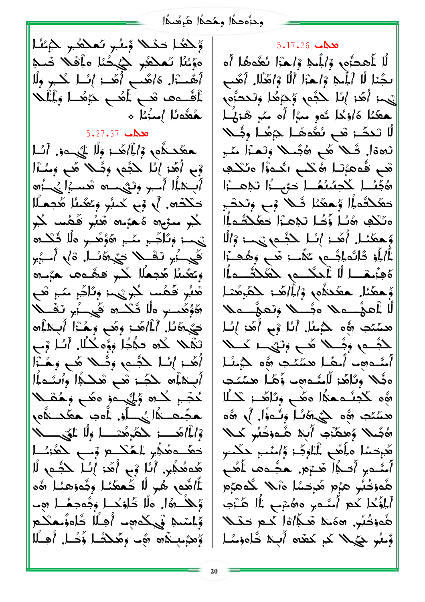ودأهجأا وهُجمًا هُرِهُداً

وَّكْعُا حَدْكَا وَّسُبِ تَعْكَفُبِ كَيْتُنَا دَوۡنُلٗا تَـٰمَـٰٰٓتُمِ ۖ نَّےٰٓ تُمَـٰٓدُ اللّٰہَ وَ اُنَّفَا ۖ تَـٰہٗ أَهْبْ:ا. هَاهُمبِي أُهْبَ إِسْلا كُبِيرٍ وِلْا أَفَّــه¤ قَبِ أَهُــِ جَرَّهُــا وِلْمَلْلا هُعَدُهُ الْمِيزُمُّ \*  $5.27.37$   $\triangle$ حفَكِندُه، وْإِبْلَاهُمْ: وِلَا يَجْمِدُو. أَسُل وْمِ أَهَٰذِ إِمَا كَثِمٍ وِجُــلا هَــمِ وِمُــٰٓا أَبْتَمَا أَسِيرٍ وَتَشَيْسُهُ هُسْبُرا يُجِدُّهُ حَكْتُهِ. ﴾ وْمِ كَعْبُرٍ وِكْعُمْا هُجِعْلَا لْكُبِرَ مَمَّوَّمِيْنَ هُمَّيْنَدَنَّةَ شَفْيُرٍ قَضْمَتْ لَكَبِر يْجِمْ وِتَاجَّــ ۚ مَمْــ ۞وُمُحبو هِ اللَّهُ شَكْـــانَ ْفَيْ زُو نْفْسْلا دْيُهِ، الْسَاءُ ۞ ﴾ أُسبُبِر وَعَعَمْنَا مَجْمَلًا كُبِرٍ فَشَّدَهَا هَزَمَهُ ھْلُب فَعُس لُمْرِيْءَ وِلَٰٓاٰجُہٖ مَّـٰہٖ ھُـٰمِ ھَوُھُـــَــَـرَ ہ اللّٰہُــُــُــُّ ہ کَـَــِـــَّابَر نَـفَـــلا حَيْجِهَمَا. أَبْمَاهُمْ: وَهُم وِهُـٰٓ;ا أَبْـٰهَا مُ تَمْلا كُلُّه مَكْمًا وَوُّه كُلًا. أَسًا وْبِ أَهَٰۃ )ِنُـا حٰجَـٰہٖ وِجَـٰلا هَـٰمِ وِهُـٰٓٓٓٓا أَبْتَدَاهُ كَجَّةَ هُم هُكْجًا وَٱلنَّـٰهَ أَ كُتْبِ لُدْهِ وَلِيُرْحَةِ هَفْمٍ وَهُقْمَلًا معتَبِهِ حَمَلَهُ الْمَسْلَمَ الْمَسْتَمَرِّدِهِ مَتَحَمَّدَ الْمَسْتَمَرَّدَةِ مِنْ الْمَسْتَمَرَّة وْالْمَاهَــــز حْكَمِهُمْــــا وِلَا لِمَتَىٰـــــهُ دَهَــوهُدُبر لمَمْكـــم وْبـــم حَهُّزَــْــل هُدهُكُبُرٍ. أَنُا فِي أُهُدَ إِنُـا ۖ كَثِّـهِ لَا ـٰٰٓٱ)هُـٰٓى هُبِ لَٰٓا خُـٰعتَكَـٰا وِجُـُووْهـُـٰلَ هُ٥ وَّى اللَّـٰهُ|, وَلَّا خَافِعُــا وِجُوجِعُــا هِب وَّلِمسْمِ فَي كُلُوهِ أَهِـلًا خُلوفُ هِنْدُم وَجِّيبِـٰدُه هَي وِهَٰـٰذَٰـٰا وَّخُـا لَامِـلُّا

 $5.17.26$   $\triangle$ لَا نَاْهِدَوْمٍ وْإِلَمْكُمْ وْإِحْزَا نُعْدَهُا أَه بِجَبْدَا لَا أَيُّلُوا وَإِنَّمَا أَلَا وَإِيَّخَالَ أَهْبَ يْ أَهَٰذِ إِمَا ۖ كَجُمٍ وَجَدَّهُما وِتَحْدَّمِ حَمَّمُا هَ/وَحُا شَهِ مِبُراً أَه مِّبِ هُزَيُّاً لًا تَحكَّـ: هَــم تُعْمَعُــل حَبْقُــل وِجُــلا تَّەەْل ئَىلا ھُم ھُڊَسلا وِتَعْزَا مَنْہِ هُم فُوعَبْنَا هُكُم انُحوْا وَنُكْفُ هُجُسًا كُجِنّْسُهُــا حَرَّبٍ ۚا نَهِڡــٓۥٓا حَكَلَكُم}ا وُحكَنُا ثَــلا وْبِ وِلَـدَـْـِ وَكَنْكُ هُنُا زُخُا نَجْعَةَا حَعَكْشُوبَاً ـأُ/لَمو حَُانُولِكُــو حَكَمــز هَــع وهُـڢــزَا وَجَنَعْكُمْ وَالْمَدْكُمُ وَالْمَحْتَدَةُ وَأَلْمَدَ وَالْمَرْكَبَةِ وَالْمَرْكَبَةِ وَالْمَرْكَبَة وَمِعَكِنًا. مِعَكِنُهُم وَالْمَاهَدِ لِلْكَبِهُدَا لَّا غُمِّھُـــما\ ہُنَـــا\ وَتَعَهُّـــمَا\ همَّمَّتِ وَهُو ۖ جَبْسًا. أَمَّا وَ ۖ أَهَّا إِنَّـا لمُشْمَعٍ وِجُمْلًا هُبِ وِلْنَيْ ۖ لَمِمْلًا أَمْدوه لَهُما همّند وهُو حَبْنُا ەبَىْلا وِئَاھُ; لَّاسْمەھِبْ وَّھَٰا ھِسِّمَٰتِ وَّهِ كَجِئُــهِـمَدًا وَهُـــمٍ وِتَـاهُـــز كَـــُلا همَّمَّتِ وَهُو ۖ شَيْئَةً لَهُ وَشُوٰرًا ۖ أَبِي رَهُو هُجُمِلًا وُهِكْنَتِ أَبَدَ هُءُوَخُبُو كَمِلًا هُبِنصًا مِأْهُمٍ غُلْوَبُ: وَٱمْسَرِ حَكْسَرِ أُمْيَـٰءَ ۞ أَصَـٰهُۥ هَـٰٓءَمِ ۖ هَجَّـٰءَهَـ ۚ أَهُـٰـَـعَ هُودُبُرِ هزمِ هُبِصَمَا وآللا ۖ لَادِهِ مِ |ٱلمؤَكَّل كُم أُمنُـه، وهُـثنِـ لَمَّا هَـٰٓوَب هُودُبُنِ وَهَٰذِ هُدَأَ) مَا كُلِّ دَخْلًا وَّسُبُو حَيْنَ لَا كُمْ كَعْدُهِ أَبْتَ ذُلُوفِضًا